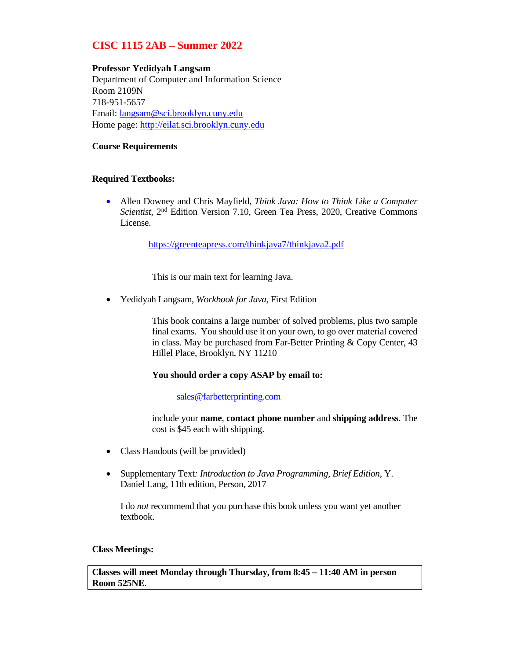## **CISC 1115 2AB – Summer 2022**

## **Professor Yedidyah Langsam**

Department of Computer and Information Science Room 2109N 718-951-5657 Email: langsam@sci.brooklyn.cuny.edu Home page: http://eilat.sci.brooklyn.cuny.edu

## **Course Requirements**

## **Required Textbooks:**

 Allen Downey and Chris Mayfield, *Think Java: How to Think Like a Computer Scientist*, 2nd Edition Version 7.10, Green Tea Press, 2020, Creative Commons License.

https://greenteapress.com/thinkjava7/thinkjava2.pdf

This is our main text for learning Java.

Yedidyah Langsam, *Workbook for Java*, First Edition

This book contains a large number of solved problems, plus two sample final exams. You should use it on your own, to go over material covered in class. May be purchased from Far-Better Printing & Copy Center, 43 Hillel Place, Brooklyn, NY 11210

## **You should order a copy ASAP by email to:**

## sales@farbetterprinting.com

include your **name**, **contact phone number** and **shipping address**. The cost is \$45 each with shipping.

- Class Handouts (will be provided)
- Supplementary Text*: Introduction to Java Programming, Brief Edition*, Y. Daniel Lang, 11th edition, Person, 2017

I do *not* recommend that you purchase this book unless you want yet another textbook.

## **Class Meetings:**

**Classes will meet Monday through Thursday, from 8:45 – 11:40 AM in person Room 525NE**.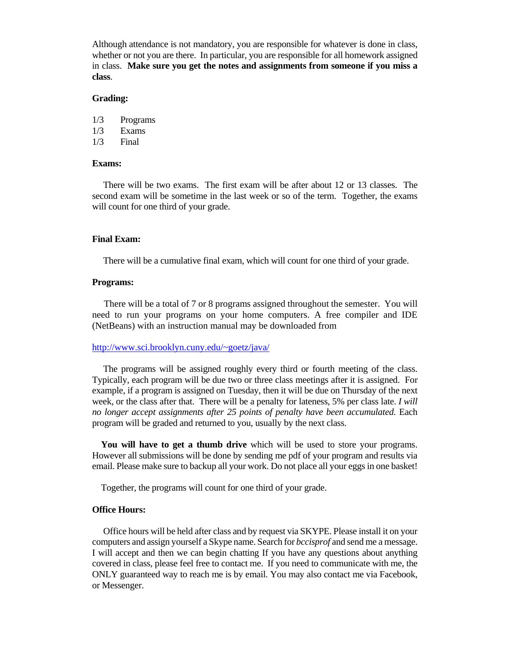Although attendance is not mandatory, you are responsible for whatever is done in class, whether or not you are there. In particular, you are responsible for all homework assigned in class. **Make sure you get the notes and assignments from someone if you miss a class**.

#### **Grading:**

1/3 Programs

1/3 Exams

1/3 Final

#### **Exams:**

 There will be two exams. The first exam will be after about 12 or 13 classes. The second exam will be sometime in the last week or so of the term. Together, the exams will count for one third of your grade.

#### **Final Exam:**

There will be a cumulative final exam, which will count for one third of your grade.

#### **Programs:**

 There will be a total of 7 or 8 programs assigned throughout the semester. You will need to run your programs on your home computers. A free compiler and IDE (NetBeans) with an instruction manual may be downloaded from

#### http://www.sci.brooklyn.cuny.edu/~goetz/java/

 The programs will be assigned roughly every third or fourth meeting of the class. Typically, each program will be due two or three class meetings after it is assigned. For example, if a program is assigned on Tuesday, then it will be due on Thursday of the next week, or the class after that. There will be a penalty for lateness, 5% per class late. *I will no longer accept assignments after 25 points of penalty have been accumulated*. Each program will be graded and returned to you, usually by the next class.

 **You will have to get a thumb drive** which will be used to store your programs. However all submissions will be done by sending me pdf of your program and results via email. Please make sure to backup all your work. Do not place all your eggs in one basket!

Together, the programs will count for one third of your grade.

## **Office Hours:**

 Office hours will be held after class and by request via SKYPE. Please install it on your computers and assign yourself a Skype name. Search for *bccisprof* and send me a message. I will accept and then we can begin chatting If you have any questions about anything covered in class, please feel free to contact me. If you need to communicate with me, the ONLY guaranteed way to reach me is by email. You may also contact me via Facebook, or Messenger.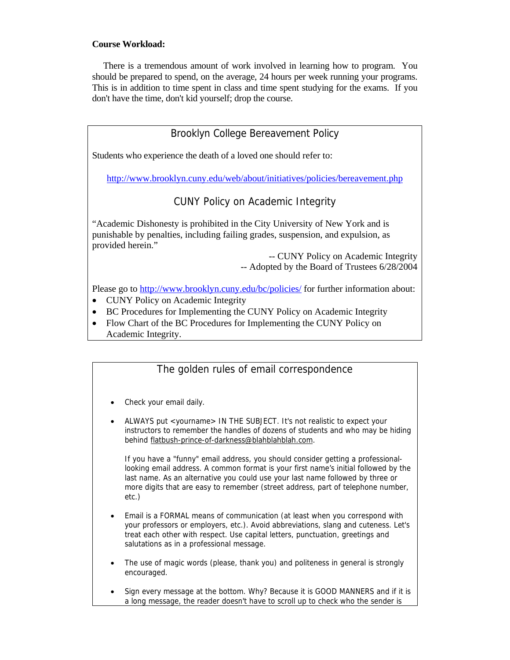## **Course Workload:**

 There is a tremendous amount of work involved in learning how to program. You should be prepared to spend, on the average, 24 hours per week running your programs. This is in addition to time spent in class and time spent studying for the exams. If you don't have the time, don't kid yourself; drop the course.

## Brooklyn College Bereavement Policy

Students who experience the death of a loved one should refer to:

http://www.brooklyn.cuny.edu/web/about/initiatives/policies/bereavement.php

# CUNY Policy on Academic Integrity

"Academic Dishonesty is prohibited in the City University of New York and is punishable by penalties, including failing grades, suspension, and expulsion, as provided herein."

> -- CUNY Policy on Academic Integrity -- Adopted by the Board of Trustees 6/28/2004

Please go to http://www.brooklyn.cuny.edu/bc/policies/ for further information about:

- CUNY Policy on Academic Integrity
- BC Procedures for Implementing the CUNY Policy on Academic Integrity
- Flow Chart of the BC Procedures for Implementing the CUNY Policy on Academic Integrity.

## The golden rules of email correspondence

- Check your email daily.
- ALWAYS put <yourname> IN THE SUBJECT. It's not realistic to expect your instructors to remember the handles of dozens of students and who may be hiding behind flatbush-prince-of-darkness@blahblahblah.com.

If you have a "funny" email address, you should consider getting a professionallooking email address. A common format is your first name's initial followed by the last name. As an alternative you could use your last name followed by three or more digits that are easy to remember (street address, part of telephone number, etc.)

- Email is a FORMAL means of communication (at least when you correspond with your professors or employers, etc.). Avoid abbreviations, slang and cuteness. Let's treat each other with respect. Use capital letters, punctuation, greetings and salutations as in a professional message.
- The use of magic words (please, thank you) and politeness in general is strongly encouraged.
- Sign every message at the bottom. Why? Because it is GOOD MANNERS and if it is a long message, the reader doesn't have to scroll up to check who the sender is